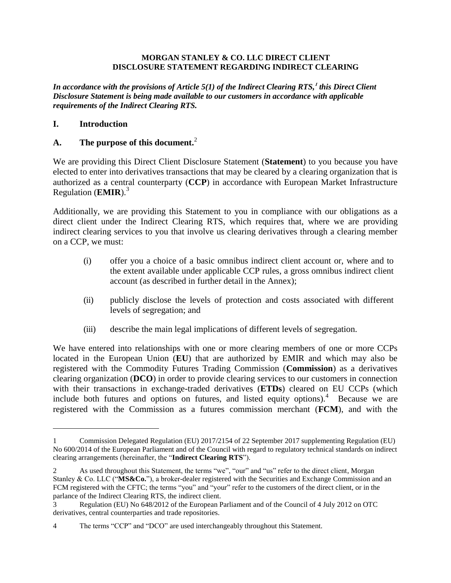#### **MORGAN STANLEY & CO. LLC DIRECT CLIENT DISCLOSURE STATEMENT REGARDING INDIRECT CLEARING**

*In accordance with the provisions of Article 5(1) of the Indirect Clearing RTS,***<sup>1</sup>** *this Direct Client Disclosure Statement is being made available to our customers in accordance with applicable requirements of the Indirect Clearing RTS.*

#### **I. Introduction**

 $\overline{\phantom{a}}$ 

### **A. The purpose of this document.**<sup>2</sup>

We are providing this Direct Client Disclosure Statement (**Statement**) to you because you have elected to enter into derivatives transactions that may be cleared by a clearing organization that is authorized as a central counterparty (**CCP**) in accordance with European Market Infrastructure Regulation (**EMIR**).<sup>3</sup>

Additionally, we are providing this Statement to you in compliance with our obligations as a direct client under the Indirect Clearing RTS, which requires that, where we are providing indirect clearing services to you that involve us clearing derivatives through a clearing member on a CCP, we must:

- (i) offer you a choice of a basic omnibus indirect client account or, where and to the extent available under applicable CCP rules, a gross omnibus indirect client account (as described in further detail in the Annex);
- (ii) publicly disclose the levels of protection and costs associated with different levels of segregation; and
- (iii) describe the main legal implications of different levels of segregation.

We have entered into relationships with one or more clearing members of one or more CCPs located in the European Union (**EU**) that are authorized by EMIR and which may also be registered with the Commodity Futures Trading Commission (**Commission**) as a derivatives clearing organization (**DCO**) in order to provide clearing services to our customers in connection with their transactions in exchange-traded derivatives (**ETDs**) cleared on EU CCPs (which include both futures and options on futures, and listed equity options). $4$  Because we are registered with the Commission as a futures commission merchant (**FCM**), and with the

<sup>1</sup> Commission Delegated Regulation (EU) 2017/2154 of 22 September 2017 supplementing Regulation (EU) No 600/2014 of the European Parliament and of the Council with regard to regulatory technical standards on indirect clearing arrangements (hereinafter, the "**Indirect Clearing RTS**").

<sup>2</sup> As used throughout this Statement, the terms "we", "our" and "us" refer to the direct client, Morgan Stanley & Co. LLC ("**MS&Co.**"), a broker-dealer registered with the Securities and Exchange Commission and an FCM registered with the CFTC; the terms "you" and "your" refer to the customers of the direct client, or in the parlance of the Indirect Clearing RTS, the indirect client.

<sup>3</sup> Regulation (EU) No 648/2012 of the European Parliament and of the Council of 4 July 2012 on OTC derivatives, central counterparties and trade repositories.

<sup>4</sup> The terms "CCP" and "DCO" are used interchangeably throughout this Statement.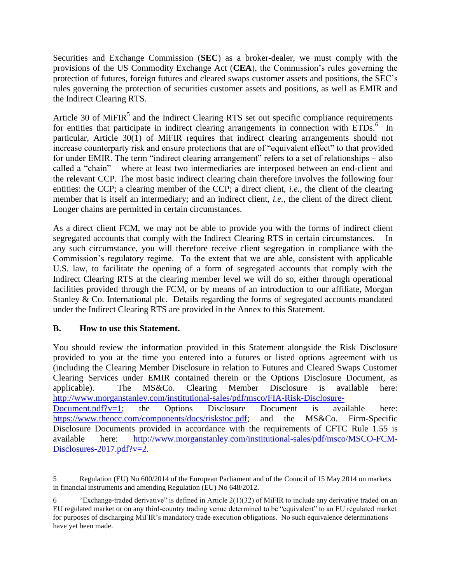Securities and Exchange Commission (**SEC**) as a broker-dealer, we must comply with the provisions of the US Commodity Exchange Act (**CEA**), the Commission's rules governing the protection of futures, foreign futures and cleared swaps customer assets and positions, the SEC's rules governing the protection of securities customer assets and positions, as well as EMIR and the Indirect Clearing RTS.

Article 30 of MiFIR<sup>5</sup> and the Indirect Clearing RTS set out specific compliance requirements for entities that participate in indirect clearing arrangements in connection with ETDs.<sup>6</sup> In particular, Article 30(1) of MiFIR requires that indirect clearing arrangements should not increase counterparty risk and ensure protections that are of "equivalent effect" to that provided for under EMIR. The term "indirect clearing arrangement" refers to a set of relationships – also called a "chain" – where at least two intermediaries are interposed between an end-client and the relevant CCP. The most basic indirect clearing chain therefore involves the following four entities: the CCP; a clearing member of the CCP; a direct client, *i.e.*, the client of the clearing member that is itself an intermediary; and an indirect client, *i.e.*, the client of the direct client. Longer chains are permitted in certain circumstances.

As a direct client FCM, we may not be able to provide you with the forms of indirect client segregated accounts that comply with the Indirect Clearing RTS in certain circumstances. In any such circumstance, you will therefore receive client segregation in compliance with the Commission's regulatory regime. To the extent that we are able, consistent with applicable U.S. law, to facilitate the opening of a form of segregated accounts that comply with the Indirect Clearing RTS at the clearing member level we will do so, either through operational facilities provided through the FCM, or by means of an introduction to our affiliate, Morgan Stanley & Co. International plc. Details regarding the forms of segregated accounts mandated under the Indirect Clearing RTS are provided in the Annex to this Statement.

### **B. How to use this Statement.**

 $\overline{a}$ 

You should review the information provided in this Statement alongside the Risk Disclosure provided to you at the time you entered into a futures or listed options agreement with us (including the Clearing Member Disclosure in relation to Futures and Cleared Swaps Customer Clearing Services under EMIR contained therein or the Options Disclosure Document, as applicable). The MS&Co. Clearing Member Disclosure is available here: [http://www.morganstanley.com/institutional-sales/pdf/msco/FIA-Risk-Disclosure-](http://www.morganstanley.com/institutional-sales/pdf/msco/FIA-Risk-Disclosure-Document.pdf?v=1)[Document.pdf?v=1;](http://www.morganstanley.com/institutional-sales/pdf/msco/FIA-Risk-Disclosure-Document.pdf?v=1) the Options Disclosure Document is available here: [https://www.theocc.com/components/docs/riskstoc.pdf;](https://www.theocc.com/components/docs/riskstoc.pdf) and the MS&Co. Firm-Specific Disclosure Documents provided in accordance with the requirements of CFTC Rule 1.55 is available here: [http://www.morganstanley.com/institutional-sales/pdf/msco/MSCO-FCM-](http://www.morganstanley.com/institutional-sales/pdf/msco/MSCO-FCM-Disclosures-2017.pdf?v=2)[Disclosures-2017.pdf?v=2.](http://www.morganstanley.com/institutional-sales/pdf/msco/MSCO-FCM-Disclosures-2017.pdf?v=2)

<sup>5</sup> Regulation (EU) No 600/2014 of the European Parliament and of the Council of 15 May 2014 on markets in financial instruments and amending Regulation (EU) No 648/2012.

<sup>6</sup> "Exchange-traded derivative" is defined in Article 2(1)(32) of MiFIR to include any derivative traded on an EU regulated market or on any third-country trading venue determined to be "equivalent" to an EU regulated market for purposes of discharging MiFIR's mandatory trade execution obligations. No such equivalence determinations have yet been made.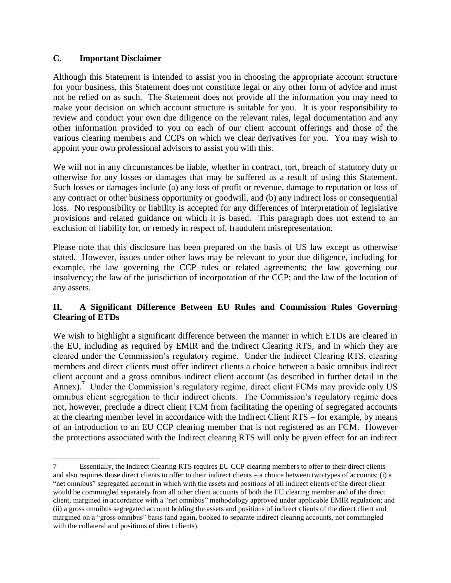### **C. Important Disclaimer**

 $\overline{a}$ 

Although this Statement is intended to assist you in choosing the appropriate account structure for your business, this Statement does not constitute legal or any other form of advice and must not be relied on as such. The Statement does not provide all the information you may need to make your decision on which account structure is suitable for you. It is your responsibility to review and conduct your own due diligence on the relevant rules, legal documentation and any other information provided to you on each of our client account offerings and those of the various clearing members and CCPs on which we clear derivatives for you. You may wish to appoint your own professional advisors to assist you with this.

We will not in any circumstances be liable, whether in contract, tort, breach of statutory duty or otherwise for any losses or damages that may be suffered as a result of using this Statement. Such losses or damages include (a) any loss of profit or revenue, damage to reputation or loss of any contract or other business opportunity or goodwill, and (b) any indirect loss or consequential loss. No responsibility or liability is accepted for any differences of interpretation of legislative provisions and related guidance on which it is based. This paragraph does not extend to an exclusion of liability for, or remedy in respect of, fraudulent misrepresentation.

Please note that this disclosure has been prepared on the basis of US law except as otherwise stated. However, issues under other laws may be relevant to your due diligence, including for example, the law governing the CCP rules or related agreements; the law governing our insolvency; the law of the jurisdiction of incorporation of the CCP; and the law of the location of any assets.

### **II. A Significant Difference Between EU Rules and Commission Rules Governing Clearing of ETDs**

We wish to highlight a significant difference between the manner in which ETDs are cleared in the EU, including as required by EMIR and the Indirect Clearing RTS, and in which they are cleared under the Commission's regulatory regime. Under the Indirect Clearing RTS, clearing members and direct clients must offer indirect clients a choice between a basic omnibus indirect client account and a gross omnibus indirect client account (as described in further detail in the Annex).<sup>7</sup> Under the Commission's regulatory regime, direct client FCMs may provide only US omnibus client segregation to their indirect clients. The Commission's regulatory regime does not, however, preclude a direct client FCM from facilitating the opening of segregated accounts at the clearing member level in accordance with the Indirect Client RTS – for example, by means of an introduction to an EU CCP clearing member that is not registered as an FCM. However the protections associated with the Indirect clearing RTS will only be given effect for an indirect

<sup>7</sup> Essentially, the Indirect Clearing RTS requires EU CCP clearing members to offer to their direct clients – and also requires those direct clients to offer to their indirect clients – a choice between two types of accounts: (i) a "net omnibus" segregated account in which with the assets and positions of all indirect clients of the direct client would be commingled separately from all other client accounts of both the EU clearing member and of the direct client, margined in accordance with a "net omnibus" methodology approved under applicable EMIR regulation; and (ii) a gross omnibus segregated account holding the assets and positions of indirect clients of the direct client and margined on a "gross omnibus" basis (and again, booked to separate indirect clearing accounts, not commingled with the collateral and positions of direct clients).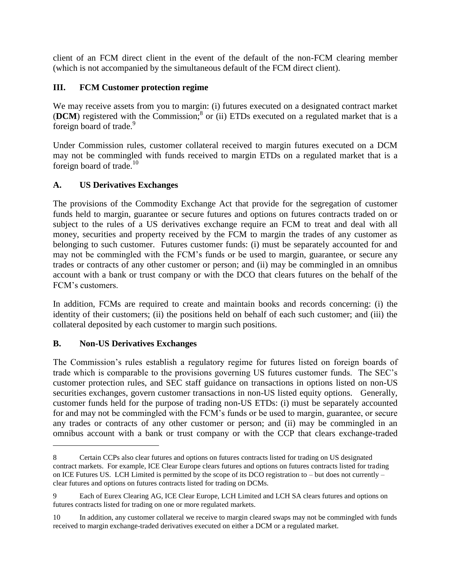client of an FCM direct client in the event of the default of the non-FCM clearing member (which is not accompanied by the simultaneous default of the FCM direct client).

## **III. FCM Customer protection regime**

We may receive assets from you to margin: (i) futures executed on a designated contract market (DCM) registered with the Commission;<sup>8</sup> or (ii) ETDs executed on a regulated market that is a foreign board of trade.<sup>9</sup>

Under Commission rules, customer collateral received to margin futures executed on a DCM may not be commingled with funds received to margin ETDs on a regulated market that is a foreign board of trade.<sup>10</sup>

# **A. US Derivatives Exchanges**

The provisions of the Commodity Exchange Act that provide for the segregation of customer funds held to margin, guarantee or secure futures and options on futures contracts traded on or subject to the rules of a US derivatives exchange require an FCM to treat and deal with all money, securities and property received by the FCM to margin the trades of any customer as belonging to such customer. Futures customer funds: (i) must be separately accounted for and may not be commingled with the FCM's funds or be used to margin, guarantee, or secure any trades or contracts of any other customer or person; and (ii) may be commingled in an omnibus account with a bank or trust company or with the DCO that clears futures on the behalf of the FCM's customers.

In addition, FCMs are required to create and maintain books and records concerning: (i) the identity of their customers; (ii) the positions held on behalf of each such customer; and (iii) the collateral deposited by each customer to margin such positions.

## **B. Non-US Derivatives Exchanges**

 $\overline{a}$ 

The Commission's rules establish a regulatory regime for futures listed on foreign boards of trade which is comparable to the provisions governing US futures customer funds. The SEC's customer protection rules, and SEC staff guidance on transactions in options listed on non-US securities exchanges, govern customer transactions in non-US listed equity options. Generally, customer funds held for the purpose of trading non-US ETDs: (i) must be separately accounted for and may not be commingled with the FCM's funds or be used to margin, guarantee, or secure any trades or contracts of any other customer or person; and (ii) may be commingled in an omnibus account with a bank or trust company or with the CCP that clears exchange-traded

<sup>8</sup> Certain CCPs also clear futures and options on futures contracts listed for trading on US designated contract markets. For example, ICE Clear Europe clears futures and options on futures contracts listed for trading on ICE Futures US. LCH Limited is permitted by the scope of its DCO registration to – but does not currently – clear futures and options on futures contracts listed for trading on DCMs.

<sup>9</sup> Each of Eurex Clearing AG, ICE Clear Europe, LCH Limited and LCH SA clears futures and options on futures contracts listed for trading on one or more regulated markets.

<sup>10</sup> In addition, any customer collateral we receive to margin cleared swaps may not be commingled with funds received to margin exchange-traded derivatives executed on either a DCM or a regulated market.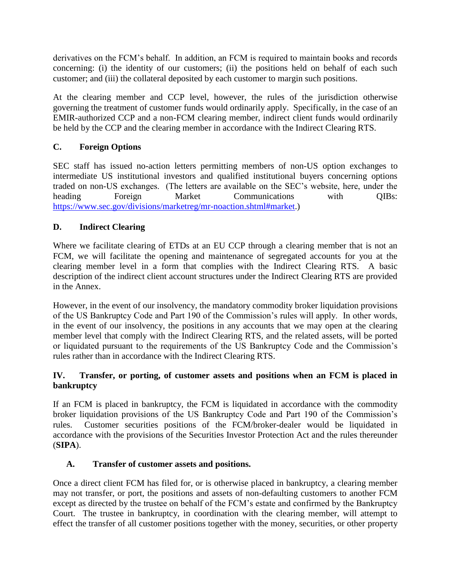derivatives on the FCM's behalf. In addition, an FCM is required to maintain books and records concerning: (i) the identity of our customers; (ii) the positions held on behalf of each such customer; and (iii) the collateral deposited by each customer to margin such positions.

At the clearing member and CCP level, however, the rules of the jurisdiction otherwise governing the treatment of customer funds would ordinarily apply. Specifically, in the case of an EMIR-authorized CCP and a non-FCM clearing member, indirect client funds would ordinarily be held by the CCP and the clearing member in accordance with the Indirect Clearing RTS.

## **C. Foreign Options**

SEC staff has issued no-action letters permitting members of non-US option exchanges to intermediate US institutional investors and qualified institutional buyers concerning options traded on non-US exchanges. (The letters are available on the SEC's website, here, under the heading Foreign Market Communications with OIBs: [https://www.sec.gov/divisions/marketreg/mr-noaction.shtml#market.](https://www.sec.gov/divisions/marketreg/mr-noaction.shtml#market))

# **D. Indirect Clearing**

Where we facilitate clearing of ETDs at an EU CCP through a clearing member that is not an FCM, we will facilitate the opening and maintenance of segregated accounts for you at the clearing member level in a form that complies with the Indirect Clearing RTS. A basic description of the indirect client account structures under the Indirect Clearing RTS are provided in the Annex.

However, in the event of our insolvency, the mandatory commodity broker liquidation provisions of the US Bankruptcy Code and Part 190 of the Commission's rules will apply. In other words, in the event of our insolvency, the positions in any accounts that we may open at the clearing member level that comply with the Indirect Clearing RTS, and the related assets, will be ported or liquidated pursuant to the requirements of the US Bankruptcy Code and the Commission's rules rather than in accordance with the Indirect Clearing RTS.

## **IV. Transfer, or porting, of customer assets and positions when an FCM is placed in bankruptcy**

If an FCM is placed in bankruptcy, the FCM is liquidated in accordance with the commodity broker liquidation provisions of the US Bankruptcy Code and Part 190 of the Commission's rules. Customer securities positions of the FCM/broker-dealer would be liquidated in accordance with the provisions of the Securities Investor Protection Act and the rules thereunder (**SIPA**).

## **A. Transfer of customer assets and positions.**

Once a direct client FCM has filed for, or is otherwise placed in bankruptcy, a clearing member may not transfer, or port, the positions and assets of non-defaulting customers to another FCM except as directed by the trustee on behalf of the FCM's estate and confirmed by the Bankruptcy Court. The trustee in bankruptcy, in coordination with the clearing member, will attempt to effect the transfer of all customer positions together with the money, securities, or other property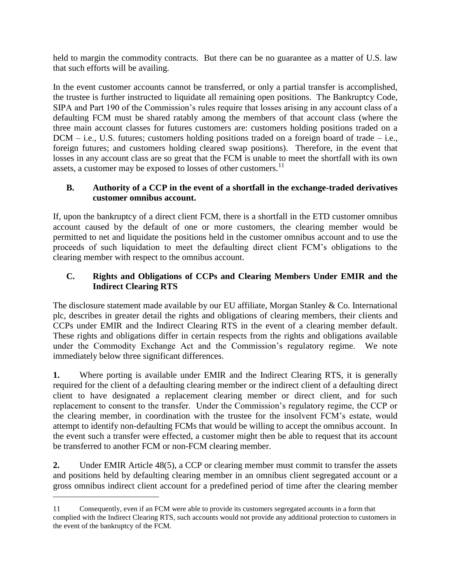held to margin the commodity contracts. But there can be no guarantee as a matter of U.S. law that such efforts will be availing.

In the event customer accounts cannot be transferred, or only a partial transfer is accomplished, the trustee is further instructed to liquidate all remaining open positions. The Bankruptcy Code, SIPA and Part 190 of the Commission's rules require that losses arising in any account class of a defaulting FCM must be shared ratably among the members of that account class (where the three main account classes for futures customers are: customers holding positions traded on a  $DCM - i.e., U.S.$  futures; customers holding positions traded on a foreign board of trade  $-i.e.,$ foreign futures; and customers holding cleared swap positions). Therefore, in the event that losses in any account class are so great that the FCM is unable to meet the shortfall with its own assets, a customer may be exposed to losses of other customers.<sup>11</sup>

## **B. Authority of a CCP in the event of a shortfall in the exchange-traded derivatives customer omnibus account.**

If, upon the bankruptcy of a direct client FCM, there is a shortfall in the ETD customer omnibus account caused by the default of one or more customers, the clearing member would be permitted to net and liquidate the positions held in the customer omnibus account and to use the proceeds of such liquidation to meet the defaulting direct client FCM's obligations to the clearing member with respect to the omnibus account.

## **C. Rights and Obligations of CCPs and Clearing Members Under EMIR and the Indirect Clearing RTS**

The disclosure statement made available by our EU affiliate, Morgan Stanley & Co. International plc, describes in greater detail the rights and obligations of clearing members, their clients and CCPs under EMIR and the Indirect Clearing RTS in the event of a clearing member default. These rights and obligations differ in certain respects from the rights and obligations available under the Commodity Exchange Act and the Commission's regulatory regime. We note immediately below three significant differences.

**1.** Where porting is available under EMIR and the Indirect Clearing RTS, it is generally required for the client of a defaulting clearing member or the indirect client of a defaulting direct client to have designated a replacement clearing member or direct client, and for such replacement to consent to the transfer. Under the Commission's regulatory regime, the CCP or the clearing member, in coordination with the trustee for the insolvent FCM's estate, would attempt to identify non-defaulting FCMs that would be willing to accept the omnibus account. In the event such a transfer were effected, a customer might then be able to request that its account be transferred to another FCM or non-FCM clearing member.

**2.** Under EMIR Article 48(5), a CCP or clearing member must commit to transfer the assets and positions held by defaulting clearing member in an omnibus client segregated account or a gross omnibus indirect client account for a predefined period of time after the clearing member

l

<sup>11</sup> Consequently, even if an FCM were able to provide its customers segregated accounts in a form that complied with the Indirect Clearing RTS, such accounts would not provide any additional protection to customers in the event of the bankruptcy of the FCM.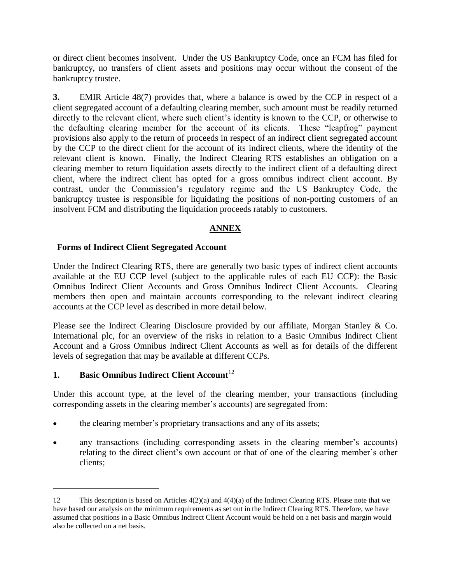or direct client becomes insolvent. Under the US Bankruptcy Code, once an FCM has filed for bankruptcy, no transfers of client assets and positions may occur without the consent of the bankruptcy trustee.

**3.** EMIR Article 48(7) provides that, where a balance is owed by the CCP in respect of a client segregated account of a defaulting clearing member, such amount must be readily returned directly to the relevant client, where such client's identity is known to the CCP, or otherwise to the defaulting clearing member for the account of its clients. These "leapfrog" payment provisions also apply to the return of proceeds in respect of an indirect client segregated account by the CCP to the direct client for the account of its indirect clients, where the identity of the relevant client is known. Finally, the Indirect Clearing RTS establishes an obligation on a clearing member to return liquidation assets directly to the indirect client of a defaulting direct client, where the indirect client has opted for a gross omnibus indirect client account. By contrast, under the Commission's regulatory regime and the US Bankruptcy Code, the bankruptcy trustee is responsible for liquidating the positions of non-porting customers of an insolvent FCM and distributing the liquidation proceeds ratably to customers.

## **ANNEX**

### **Forms of Indirect Client Segregated Account**

Under the Indirect Clearing RTS, there are generally two basic types of indirect client accounts available at the EU CCP level (subject to the applicable rules of each EU CCP): the Basic Omnibus Indirect Client Accounts and Gross Omnibus Indirect Client Accounts. Clearing members then open and maintain accounts corresponding to the relevant indirect clearing accounts at the CCP level as described in more detail below.

Please see the Indirect Clearing Disclosure provided by our affiliate, Morgan Stanley & Co. International plc, for an overview of the risks in relation to a Basic Omnibus Indirect Client Account and a Gross Omnibus Indirect Client Accounts as well as for details of the different levels of segregation that may be available at different CCPs.

## **1. Basic Omnibus Indirect Client Account**<sup>12</sup>

 $\overline{\phantom{a}}$ 

Under this account type, at the level of the clearing member, your transactions (including corresponding assets in the clearing member's accounts) are segregated from:

- the clearing member's proprietary transactions and any of its assets;
- any transactions (including corresponding assets in the clearing member's accounts) relating to the direct client's own account or that of one of the clearing member's other clients;

<sup>12</sup> This description is based on Articles 4(2)(a) and 4(4)(a) of the Indirect Clearing RTS. Please note that we have based our analysis on the minimum requirements as set out in the Indirect Clearing RTS. Therefore, we have assumed that positions in a Basic Omnibus Indirect Client Account would be held on a net basis and margin would also be collected on a net basis.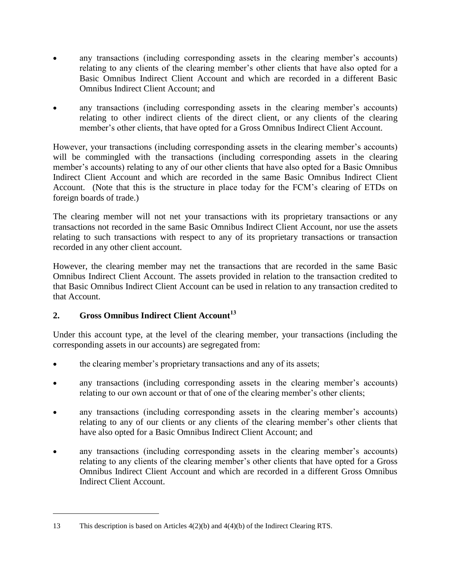- any transactions (including corresponding assets in the clearing member's accounts) relating to any clients of the clearing member's other clients that have also opted for a Basic Omnibus Indirect Client Account and which are recorded in a different Basic Omnibus Indirect Client Account; and
- any transactions (including corresponding assets in the clearing member's accounts) relating to other indirect clients of the direct client, or any clients of the clearing member's other clients, that have opted for a Gross Omnibus Indirect Client Account.

However, your transactions (including corresponding assets in the clearing member's accounts) will be commingled with the transactions (including corresponding assets in the clearing member's accounts) relating to any of our other clients that have also opted for a Basic Omnibus Indirect Client Account and which are recorded in the same Basic Omnibus Indirect Client Account. (Note that this is the structure in place today for the FCM's clearing of ETDs on foreign boards of trade.)

The clearing member will not net your transactions with its proprietary transactions or any transactions not recorded in the same Basic Omnibus Indirect Client Account, nor use the assets relating to such transactions with respect to any of its proprietary transactions or transaction recorded in any other client account.

However, the clearing member may net the transactions that are recorded in the same Basic Omnibus Indirect Client Account. The assets provided in relation to the transaction credited to that Basic Omnibus Indirect Client Account can be used in relation to any transaction credited to that Account.

## **2. Gross Omnibus Indirect Client Account<sup>13</sup>**

l

Under this account type, at the level of the clearing member, your transactions (including the corresponding assets in our accounts) are segregated from:

- the clearing member's proprietary transactions and any of its assets;
- any transactions (including corresponding assets in the clearing member's accounts) relating to our own account or that of one of the clearing member's other clients;
- any transactions (including corresponding assets in the clearing member's accounts) relating to any of our clients or any clients of the clearing member's other clients that have also opted for a Basic Omnibus Indirect Client Account; and
- any transactions (including corresponding assets in the clearing member's accounts) relating to any clients of the clearing member's other clients that have opted for a Gross Omnibus Indirect Client Account and which are recorded in a different Gross Omnibus Indirect Client Account.

<sup>13</sup> This description is based on Articles 4(2)(b) and 4(4)(b) of the Indirect Clearing RTS.